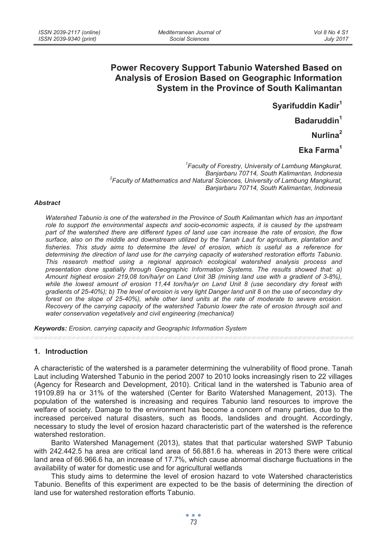# **Power Recovery Support Tabunio Watershed Based on Analysis of Erosion Based on Geographic Information System in the Province of South Kalimantan**

**Syarifuddin Kadir1** 

**Badaruddin1**

**Nurlina2** 

**Eka Farma<sup>1</sup>**

*1 Faculty of Forestry, University of Lambung Mangkurat, Banjarbaru 70714, South Kalimantan, Indonesia 2 Faculty of Mathematics and Natural Sciences, University of Lambung Mangkurat, Banjarbaru 70714, South Kalimantan, Indonesia* 

#### *Abstract*

*Watershed Tabunio is one of the watershed in the Province of South Kalimantan which has an important role to support the environmental aspects and socio-economic aspects, it is caused by the upstream part of the watershed there are different types of land use can increase the rate of erosion, the flow surface, also on the middle and downstream utilized by the Tanah Laut for agriculture, plantation and fisheries. This study aims to determine the level of erosion, which is useful as a reference for determining the direction of land use for the carrying capacity of watershed restoration efforts Tabunio. This research method using a regional approach ecological watershed analysis process and presentation done spatially through Geographic Information Systems. The results showed that: a) Amount highest erosion 219,08 ton/ha/yr on Land Unit 3B (mining land use with a gradient of 3-8%), while the lowest amount of erosion 11,44 ton/ha/yr on Land Unit 8 (use secondary dry forest with gradients of 25-40%); b) The level of erosion is very light Danger land unit 8 on the use of secondary dry forest on the slope of 25-40%), while other land units at the rate of moderate to severe erosion. Recovery of the carrying capacity of the watershed Tabunio lower the rate of erosion through soil and water conservation vegetatively and civil engineering (mechanical)* 

*Keywords: Erosion, carrying capacity and Geographic Information System* 

#### **1. Introduction**

A characteristic of the watershed is a parameter determining the vulnerability of flood prone. Tanah Laut including Watershed Tabunio in the period 2007 to 2010 looks increasingly risen to 22 villages (Agency for Research and Development, 2010). Critical land in the watershed is Tabunio area of 19109.89 ha or 31% of the watershed (Center for Barito Watershed Management, 2013). The population of the watershed is increasing and requires Tabunio land resources to improve the welfare of society. Damage to the environment has become a concern of many parties, due to the increased perceived natural disasters, such as floods, landslides and drought. Accordingly, necessary to study the level of erosion hazard characteristic part of the watershed is the reference watershed restoration.

Barito Watershed Management (2013), states that that particular watershed SWP Tabunio with 242.442.5 ha area are critical land area of 56.881.6 ha. whereas in 2013 there were critical land area of 66.966.6 ha, an increase of 17.7%, which cause abnormal discharge fluctuations in the availability of water for domestic use and for agricultural wetlands

This study aims to determine the level of erosion hazard to vote Watershed characteristics Tabunio. Benefits of this experiment are expected to be the basis of determining the direction of land use for watershed restoration efforts Tabunio.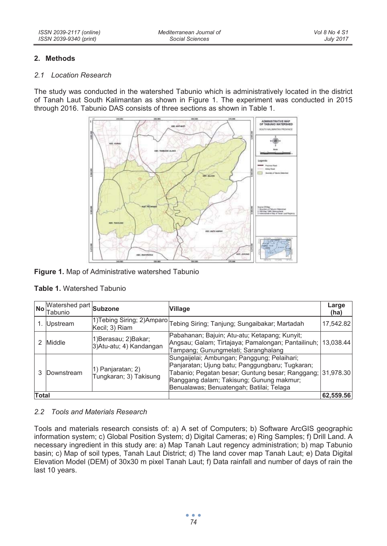*Mediterranean Journal of Social Sciences* 

## **2. Methods**

#### *2.1 Location Research*

The study was conducted in the watershed Tabunio which is administratively located in the district of Tanah Laut South Kalimantan as shown in Figure 1. The experiment was conducted in 2015 through 2016. Tabunio DAS consists of three sections as shown in Table 1.



## **Figure 1.** Map of Administrative watershed Tabunio

#### **Table 1.** Watershed Tabunio

| <b>No</b>    | Watershed part Subzone<br>Tabunio |                                                  | <b>Village</b>                                                                                                                                                                                                                                       | Large<br>(ha) |
|--------------|-----------------------------------|--------------------------------------------------|------------------------------------------------------------------------------------------------------------------------------------------------------------------------------------------------------------------------------------------------------|---------------|
|              | Upstream                          | Kecil; 3) Riam                                   | 1)Tebing Siring; 2)Amparo Tebing Siring; Tanjung; Sungaibakar; Martadah                                                                                                                                                                              | 17,542.82     |
|              | Middle                            | 11)Berasau; 2)Bakar;<br>3) Atu-atu; 4) Kandangan | Pabahanan; Bajuin; Atu-atu; Ketapang; Kunyit;<br>Angsau; Galam; Tirtajaya; Pamalongan; Pantailinuh; 13,038.44<br>Tampang; Gunungmelati; Saranghalang                                                                                                 |               |
|              | Downstream                        | 1) Panjaratan; 2)<br>Tungkaran; 3) Takisung      | Sungaijelai; Ambungan; Panggung; Pelaihari;<br>Panjaratan; Ujung batu; Panggungbaru; Tugkaran;<br>Tabanio: Pegatan besar: Guntung besar: Ranggang: 31,978.30<br>Ranggang dalam; Takisung; Gunung makmur;<br>Benualawas; Benuatengah; Batilai; Telaga |               |
| <b>Total</b> |                                   |                                                  |                                                                                                                                                                                                                                                      | 62,559.56     |

## *2.2 Tools and Materials Research*

Tools and materials research consists of: a) A set of Computers; b) Software ArcGIS geographic information system; c) Global Position System; d) Digital Cameras; e) Ring Samples; f) Drill Land. A necessary ingredient in this study are: a) Map Tanah Laut regency administration; b) map Tabunio basin; c) Map of soil types, Tanah Laut District; d) The land cover map Tanah Laut; e) Data Digital Elevation Model (DEM) of 30x30 m pixel Tanah Laut; f) Data rainfall and number of days of rain the last 10 years.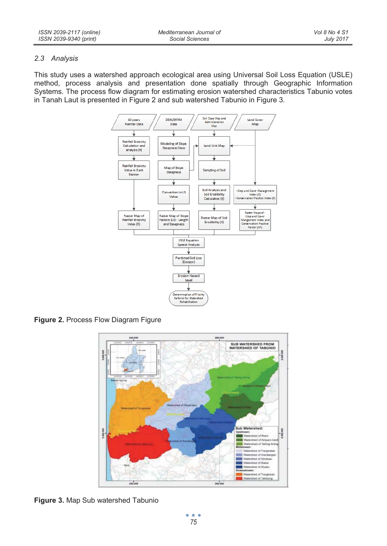#### *2.3 Analysis*

This study uses a watershed approach ecological area using Universal Soil Loss Equation (USLE) method, process analysis and presentation done spatially through Geographic Information Systems. The process flow diagram for estimating erosion watershed characteristics Tabunio votes in Tanah Laut is presented in Figure 2 and sub watershed Tabunio in Figure 3.



**Figure 2.** Process Flow Diagram Figure



**Figure 3.** Map Sub watershed Tabunio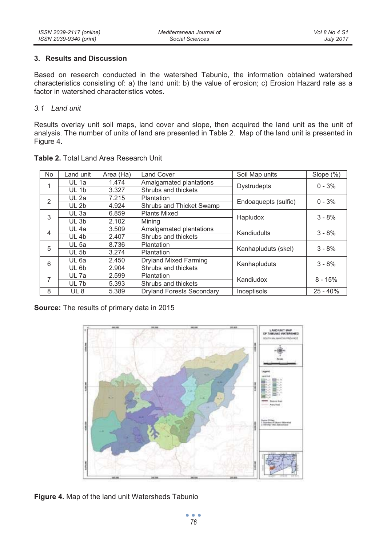## **3. Results and Discussion**

Based on research conducted in the watershed Tabunio, the information obtained watershed characteristics consisting of: a) the land unit: b) the value of erosion; c) Erosion Hazard rate as a factor in watershed characteristics votes.

## *3.1 Land unit*

Results overlay unit soil maps, land cover and slope, then acquired the land unit as the unit of analysis. The number of units of land are presented in Table 2. Map of the land unit is presented in Figure 4.

| No.            | Land unit        | Area (Ha) | Land Cover                       | Soil Map units       | Slope $(\%)$ |  |
|----------------|------------------|-----------|----------------------------------|----------------------|--------------|--|
|                | UL 1a            | 1.474     | Amalgamated plantations          |                      | $0 - 3%$     |  |
|                | UL 1b            | 3.327     | Shrubs and thickets              | <b>Dystrudepts</b>   |              |  |
| $\overline{2}$ | UL 2a            | 7.215     | Plantation                       | Endoaquepts (sulfic) | $0 - 3%$     |  |
|                | UL <sub>2b</sub> | 4.924     | Shrubs and Thicket Swamp         |                      |              |  |
| 3              | $UL$ 3a          | 6.859     | Plants Mixed                     | Hapludox             | $3 - 8%$     |  |
|                | UL 3b            | 2.102     | Minina                           |                      |              |  |
| 4              | UL 4a            | 3.509     | Amalgamated plantations          | Kandiudults          | $3 - 8%$     |  |
|                | UL 4b            | 2.407     | Shrubs and thickets              |                      |              |  |
| 5              | <b>UL 5a</b>     | 8.736     | Plantation                       | Kanhapluduts (skel)  |              |  |
|                | <b>UL 5b</b>     | 3.274     | Plantation                       |                      | $3 - 8%$     |  |
| 6              | UL 6a            | 2.450     | Dryland Mixed Farming            | Kanhapluduts         | $3 - 8%$     |  |
|                | UL 6b            | 2.904     | Shrubs and thickets              |                      |              |  |
| 7              | UL 7a            | 2.599     | Plantation                       | Kandiudox            | $8 - 15%$    |  |
|                | UL 7b            | 5.393     | Shrubs and thickets              |                      |              |  |
| 8              | UL 8             | 5.389     | <b>Dryland Forests Secondary</b> | Inceptisols          | $25 - 40%$   |  |

**Table 2.** Total Land Area Research Unit

**Source:** The results of primary data in 2015



**Figure 4.** Map of the land unit Watersheds Tabunio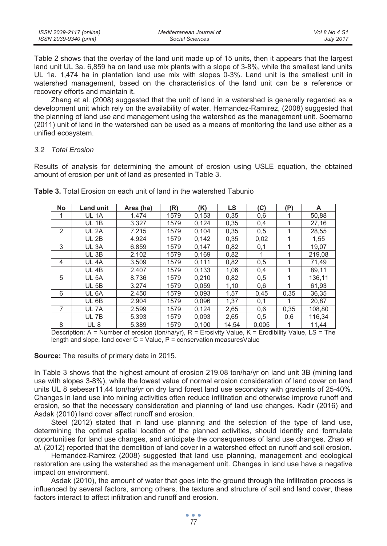| ISSN 2039-2117 (online) | Mediterranean Journal of | Vol 8 No 4 S1    |
|-------------------------|--------------------------|------------------|
| ISSN 2039-9340 (print)  | Social Sciences          | <b>July 2017</b> |

Table 2 shows that the overlay of the land unit made up of 15 units, then it appears that the largest land unit UL 3a. 6,859 ha on land use mix plants with a slope of 3-8%, while the smallest land units UL 1a. 1,474 ha in plantation land use mix with slopes 0-3%. Land unit is the smallest unit in watershed management, based on the characteristics of the land unit can be a reference or recovery efforts and maintain it.

Zhang et al. (2008) suggested that the unit of land in a watershed is generally regarded as a development unit which rely on the availability of water. Hernandez-Ramirez, (2008) suggested that the planning of land use and management using the watershed as the management unit. Soemarno (2011) unit of land in the watershed can be used as a means of monitoring the land use either as a unified ecosystem.

#### *3.2 Total Erosion*

Results of analysis for determining the amount of erosion using USLE equation, the obtained amount of erosion per unit of land as presented in Table 3.

| <b>No</b>      | Land unit         | Area (ha) | (R)  | (K)   | LS    | C)    | (P)  | A      |
|----------------|-------------------|-----------|------|-------|-------|-------|------|--------|
|                | UL 1A             | 1.474     | 1579 | 0,153 | 0,35  | 0,6   |      | 50,88  |
|                | UL 1B             | 3.327     | 1579 | 0,124 | 0,35  | 0,4   |      | 27,16  |
| $\mathfrak{p}$ | UL <sub>2</sub> A | 7.215     | 1579 | 0,104 | 0,35  | 0,5   |      | 28,55  |
|                | <b>UL 2B</b>      | 4.924     | 1579 | 0,142 | 0,35  | 0,02  |      | 1,55   |
| 3              | UL 3A             | 6.859     | 1579 | 0.147 | 0,82  | 0,1   |      | 19,07  |
|                | UL <sub>3B</sub>  | 2.102     | 1579 | 0,169 | 0,82  |       |      | 219,08 |
| 4              | UL <sub>4</sub> A | 3.509     | 1579 | 0,111 | 0,82  | 0,5   |      | 71.49  |
|                | UL <sub>4B</sub>  | 2.407     | 1579 | 0,133 | 1,06  | 0,4   |      | 89,11  |
| 5              | <b>UL 5A</b>      | 8.736     | 1579 | 0,210 | 0,82  | 0,5   |      | 136,11 |
|                | <b>UL 5B</b>      | 3.274     | 1579 | 0,059 | 1,10  | 0,6   |      | 61,93  |
| 6              | UL <sub>6</sub> A | 2.450     | 1579 | 0.093 | 1,57  | 0,45  | 0,35 | 36.35  |
|                | UL 6B             | 2.904     | 1579 | 0,096 | 1,37  | 0,1   |      | 20,87  |
| 7              | UL 7A             | 2.599     | 1579 | 0,124 | 2,65  | 0,6   | 0,35 | 108,80 |
|                | UL 7B             | 5.393     | 1579 | 0,093 | 2,65  | 0,5   | 0,6  | 116.34 |
| 8              | UL <sub>8</sub>   | 5.389     | 1579 | 0.100 | 14,54 | 0,005 |      | 11,44  |

**Table 3.** Total Erosion on each unit of land in the watershed Tabunio

Description: A = Number of erosion (ton/ha/yr), R = Erosivity Value, K = Erodibility Value, LS = The length and slope, land cover  $C =$  Value,  $P =$  conservation measures Value

**Source:** The results of primary data in 2015.

In Table 3 shows that the highest amount of erosion 219.08 ton/ha/yr on land unit 3B (mining land use with slopes 3-8%), while the lowest value of normal erosion consideration of land cover on land units UL 8 sebesar11,44 ton/ha/yr on dry land forest land use secondary with gradients of 25-40%. Changes in land use into mining activities often reduce infiltration and otherwise improve runoff and erosion, so that the necessary consideration and planning of land use changes. Kadir (2016) and Asdak (2010) land cover affect runoff and erosion.

Steel (2012) stated that in land use planning and the selection of the type of land use, determining the optimal spatial location of the planned activities, should identify and formulate opportunities for land use changes, and anticipate the consequences of land use changes. Zhao *et al.* (2012) reported that the demolition of land cover in a watershed effect on runoff and soil erosion.

Hernandez-Ramirez (2008) suggested that land use planning, management and ecological restoration are using the watershed as the management unit. Changes in land use have a negative impact on environment.

Asdak (2010), the amount of water that goes into the ground through the infiltration process is influenced by several factors, among others, the texture and structure of soil and land cover, these factors interact to affect infiltration and runoff and erosion.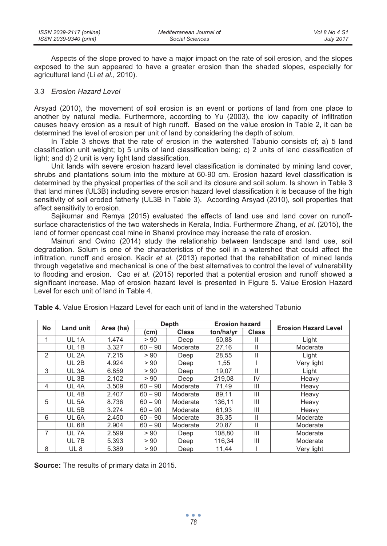| ISSN 2039-2117 (online) | Mediterranean Journal of | Vol 8 No 4 S1    |
|-------------------------|--------------------------|------------------|
| ISSN 2039-9340 (print)  | Social Sciences          | <b>July 2017</b> |

Aspects of the slope proved to have a major impact on the rate of soil erosion, and the slopes exposed to the sun appeared to have a greater erosion than the shaded slopes, especially for agricultural land (Li *et al*., 2010).

#### *3.3 Erosion Hazard Level*

Arsyad (2010), the movement of soil erosion is an event or portions of land from one place to another by natural media. Furthermore, according to Yu (2003), the low capacity of infiltration causes heavy erosion as a result of high runoff. Based on the value erosion in Table 2, it can be determined the level of erosion per unit of land by considering the depth of solum.

In Table 3 shows that the rate of erosion in the watershed Tabunio consists of; a) 5 land classification unit weight; b) 5 units of land classification being; c) 2 units of land classification of light; and d) 2 unit is very light land classification.

Unit lands with severe erosion hazard level classification is dominated by mining land cover, shrubs and plantations solum into the mixture at 60-90 cm. Erosion hazard level classification is determined by the physical properties of the soil and its closure and soil solum. Is shown in Table 3 that land mines (UL3B) including severe erosion hazard level classification it is because of the high sensitivity of soil eroded fatherly (UL3B in Table 3). According Arsyad (2010), soil properties that affect sensitivity to erosion.

Sajikumar and Remya (2015) evaluated the effects of land use and land cover on runoffsurface characteristics of the two watersheds in Kerala, India. Furthermore Zhang, *et al*. (2015), the land of former opencast coal mine in Shanxi province may increase the rate of erosion.

Mainuri and Owino (2014) study the relationship between landscape and land use, soil degradation. Solum is one of the characteristics of the soil in a watershed that could affect the infiltration, runoff and erosion. Kadir *et al*. (2013) reported that the rehabilitation of mined lands through vegetative and mechanical is one of the best alternatives to control the level of vulnerability to flooding and erosion. Cao *et al*. (2015) reported that a potential erosion and runoff showed a significant increase. Map of erosion hazard level is presented in Figure 5. Value Erosion Hazard Level for each unit of land in Table 4.

| No             | <b>Land unit</b>  |           |           | Depth        |           | <b>Erosion hazard</b> | <b>Erosion Hazard Level</b> |
|----------------|-------------------|-----------|-----------|--------------|-----------|-----------------------|-----------------------------|
|                |                   | Area (ha) | (cm)      | <b>Class</b> | ton/ha/yr | <b>Class</b>          |                             |
|                | <b>UL 1A</b>      | 1.474     | > 90      | Deep         | 50,88     | Ш                     | Light                       |
|                | UL 1B             | 3.327     | $60 - 90$ | Moderate     | 27,16     | Ш                     | Moderate                    |
| 2              | <b>UL 2A</b>      | 7.215     | > 90      | Deep         | 28,55     | Ш                     | Light                       |
|                | <b>UL 2B</b>      | 4.924     | > 90      | Deep         | 1,55      |                       | Very light                  |
| 3              | UL 3A             | 6.859     | > 90      | Deep         | 19,07     | Ш                     | Light                       |
|                | UL 3B             | 2.102     | > 90      | Deep         | 219,08    | IV                    | Heavy                       |
| $\overline{4}$ | UL <sub>4</sub> A | 3.509     | $60 - 90$ | Moderate     | 71,49     | Ш                     | Heavy                       |
|                | UL 4B             | 2.407     | $60 - 90$ | Moderate     | 89,11     | Ш                     | Heavy                       |
| 5              | <b>UL 5A</b>      | 8.736     | $60 - 90$ | Moderate     | 136,11    | Ш                     | Heavy                       |
|                | <b>UL 5B</b>      | 3.274     | $60 - 90$ | Moderate     | 61,93     | $\mathsf{III}$        | Heavy                       |
| 6              | UL 6A             | 2.450     | $60 - 90$ | Moderate     | 36,35     | Ш                     | Moderate                    |
|                | UL 6B             | 2.904     | $60 - 90$ | Moderate     | 20,87     | Ш                     | Moderate                    |
| 7              | UL 7A             | 2.599     | > 90      | Deep         | 108,80    | Ш                     | Moderate                    |
|                | UL 7B             | 5.393     | > 90      | Deep         | 116.34    | Ш                     | Moderate                    |
| 8              | UL <sub>8</sub>   | 5.389     | > 90      | Deep         | 11.44     |                       | Very light                  |

**Table 4.** Value Erosion Hazard Level for each unit of land in the watershed Tabunio

**Source:** The results of primary data in 2015.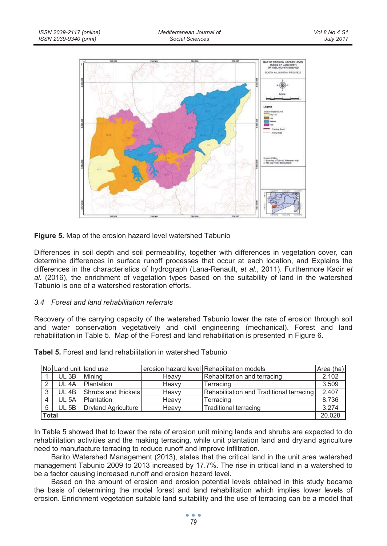

#### **Figure 5.** Map of the erosion hazard level watershed Tabunio

Differences in soil depth and soil permeability, together with differences in vegetation cover, can determine differences in surface runoff processes that occur at each location, and Explains the differences in the characteristics of hydrograph (Lana-Renault, *et al*., 2011). Furthermore Kadir *et al*. (2016), the enrichment of vegetation types based on the suitability of land in the watershed Tabunio is one of a watershed restoration efforts.

#### *3.4 Forest and land rehabilitation referrals*

Recovery of the carrying capacity of the watershed Tabunio lower the rate of erosion through soil and water conservation vegetatively and civil engineering (mechanical). Forest and land rehabilitation in Table 5. Map of the Forest and land rehabilitation is presented in Figure 6.

|              | No Land unit land use |                            |       | lerosion hazard level Rehabilitation models | Area (ha) |
|--------------|-----------------------|----------------------------|-------|---------------------------------------------|-----------|
|              | UL 3B                 | Minina                     | Heavy | Rehabilitation and terracing                | 2.102     |
| 2            | UL 4A                 | Plantation                 | Heavy | Terracing                                   | 3.509     |
| $\circ$      | <b>UL 4B</b>          | Shrubs and thickets        | Heavy | Rehabilitation and Traditional terracing    | 2.407     |
| 4            | <b>UL 5A</b>          | Plantation                 | Heavy | Terracing                                   | 8.736     |
| 5            | <b>UL 5B</b>          | <b>Dryland Agriculture</b> | Heavy | Traditional terracing                       | 3.274     |
| <b>Total</b> |                       |                            |       |                                             |           |

**Tabel 5.** Forest and land rehabilitation in watershed Tabunio

In Table 5 showed that to lower the rate of erosion unit mining lands and shrubs are expected to do rehabilitation activities and the making terracing, while unit plantation land and dryland agriculture need to manufacture terracing to reduce runoff and improve infiltration.

Barito Watershed Management (2013), states that the critical land in the unit area watershed management Tabunio 2009 to 2013 increased by 17.7%. The rise in critical land in a watershed to be a factor causing increased runoff and erosion hazard level.

Based on the amount of erosion and erosion potential levels obtained in this study became the basis of determining the model forest and land rehabilitation which implies lower levels of erosion. Enrichment vegetation suitable land suitability and the use of terracing can be a model that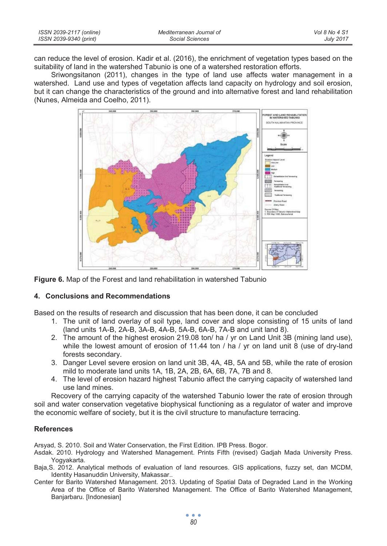| ISSN 2039-2117 (online) | Mediterranean Journal of | Vol 8 No 4 S1    |
|-------------------------|--------------------------|------------------|
| ISSN 2039-9340 (print)  | Social Sciences          | <b>July 2017</b> |

can reduce the level of erosion. Kadir et al. (2016), the enrichment of vegetation types based on the suitability of land in the watershed Tabunio is one of a watershed restoration efforts.

Sriwongsitanon (2011), changes in the type of land use affects water management in a watershed. Land use and types of vegetation affects land capacity on hydrology and soil erosion, but it can change the characteristics of the ground and into alternative forest and land rehabilitation (Nunes, Almeida and Coelho, 2011).





#### **4. Conclusions and Recommendations**

Based on the results of research and discussion that has been done, it can be concluded

- 1. The unit of land overlay of soil type, land cover and slope consisting of 15 units of land (land units 1A-B, 2A-B, 3A-B, 4A-B, 5A-B, 6A-B, 7A-B and unit land 8).
- 2. The amount of the highest erosion 219.08 ton/ ha / yr on Land Unit 3B (mining land use), while the lowest amount of erosion of 11.44 ton / ha / yr on land unit 8 (use of dry-land forests secondary.
- 3. Danger Level severe erosion on land unit 3B, 4A, 4B, 5A and 5B, while the rate of erosion mild to moderate land units 1A, 1B, 2A, 2B, 6A, 6B, 7A, 7B and 8.
- 4. The level of erosion hazard highest Tabunio affect the carrying capacity of watershed land use land mines.

Recovery of the carrying capacity of the watershed Tabunio lower the rate of erosion through soil and water conservation vegetative biophysical functioning as a regulator of water and improve the economic welfare of society, but it is the civil structure to manufacture terracing.

#### **References**

Arsyad, S. 2010. Soil and Water Conservation, the First Edition. IPB Press. Bogor.

- Asdak. 2010. Hydrology and Watershed Management. Prints Fifth (revised) Gadjah Mada University Press. Yogyakarta.
- Baja,S. 2012. Analytical methods of evaluation of land resources. GIS applications, fuzzy set, dan MCDM, Identity Hasanuddin University, Makassar..
- Center for Barito Watershed Management. 2013. Updating of Spatial Data of Degraded Land in the Working Area of the Office of Barito Watershed Management. The Office of Barito Watershed Management, Banjarbaru. [Indonesian]